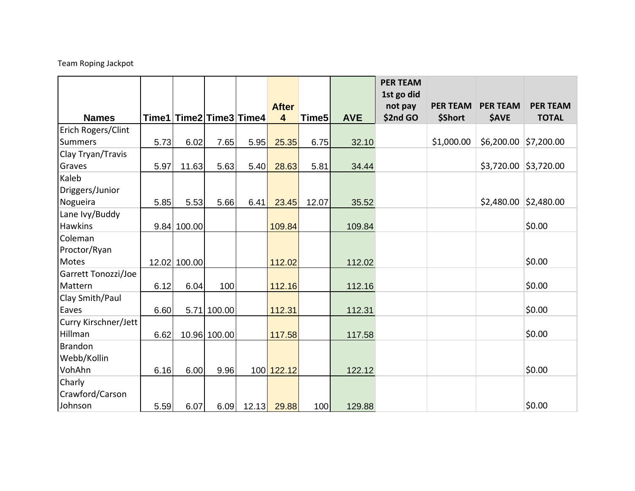## Team Roping Jackpot

|                      |      |                         |              |      |                                         |                   |            | <b>PER TEAM</b>     |                            |                                 |                                 |
|----------------------|------|-------------------------|--------------|------|-----------------------------------------|-------------------|------------|---------------------|----------------------------|---------------------------------|---------------------------------|
|                      |      |                         |              |      |                                         |                   |            | 1st go did          |                            |                                 |                                 |
| <b>Names</b>         |      | Time1 Time2 Time3 Time4 |              |      | <b>After</b><br>$\overline{\mathbf{4}}$ | Time <sub>5</sub> | <b>AVE</b> | not pay<br>\$2nd GO | <b>PER TEAM</b><br>\$Short | <b>PER TEAM</b><br><b>\$AVE</b> | <b>PER TEAM</b><br><b>TOTAL</b> |
| Erich Rogers/Clint   |      |                         |              |      |                                         |                   |            |                     |                            |                                 |                                 |
| <b>Summers</b>       | 5.73 | 6.02                    | 7.65         | 5.95 | 25.35                                   | 6.75              | 32.10      |                     | \$1,000.00                 | \$6,200.00                      | \$7,200.00                      |
| Clay Tryan/Travis    |      |                         |              |      |                                         |                   |            |                     |                            |                                 |                                 |
| Graves               | 5.97 | 11.63                   | 5.63         | 5.40 | 28.63                                   | 5.81              | 34.44      |                     |                            |                                 | $$3,720.00$ $$3,720.00$         |
| Kaleb                |      |                         |              |      |                                         |                   |            |                     |                            |                                 |                                 |
| Driggers/Junior      |      |                         |              |      |                                         |                   |            |                     |                            |                                 |                                 |
| Nogueira             | 5.85 | 5.53                    | 5.66         | 6.41 | 23.45                                   | 12.07             | 35.52      |                     |                            | \$2,480.00                      | \$2,480.00                      |
| Lane Ivy/Buddy       |      |                         |              |      |                                         |                   |            |                     |                            |                                 |                                 |
| Hawkins              |      | $9.84$ 100.00           |              |      | 109.84                                  |                   | 109.84     |                     |                            |                                 | \$0.00                          |
| Coleman              |      |                         |              |      |                                         |                   |            |                     |                            |                                 |                                 |
| Proctor/Ryan         |      |                         |              |      |                                         |                   |            |                     |                            |                                 |                                 |
| Motes                |      | 12.02 100.00            |              |      | 112.02                                  |                   | 112.02     |                     |                            |                                 | \$0.00                          |
| Garrett Tonozzi/Joe  |      |                         |              |      |                                         |                   |            |                     |                            |                                 |                                 |
| Mattern              | 6.12 | 6.04                    | 100          |      | 112.16                                  |                   | 112.16     |                     |                            |                                 | \$0.00                          |
| Clay Smith/Paul      |      |                         |              |      |                                         |                   |            |                     |                            |                                 |                                 |
| Eaves                | 6.60 |                         | 5.71 100.00  |      | 112.31                                  |                   | 112.31     |                     |                            |                                 | \$0.00                          |
| Curry Kirschner/Jett |      |                         |              |      |                                         |                   |            |                     |                            |                                 |                                 |
| Hillman              | 6.62 |                         | 10.96 100.00 |      | 117.58                                  |                   | 117.58     |                     |                            |                                 | \$0.00                          |
| <b>Brandon</b>       |      |                         |              |      |                                         |                   |            |                     |                            |                                 |                                 |
| Webb/Kollin          |      |                         |              |      |                                         |                   |            |                     |                            |                                 |                                 |
| VohAhn               | 6.16 | 6.00                    | 9.96         |      | 100 122.12                              |                   | 122.12     |                     |                            |                                 | \$0.00                          |
| Charly               |      |                         |              |      |                                         |                   |            |                     |                            |                                 |                                 |
| Crawford/Carson      |      |                         |              |      |                                         |                   |            |                     |                            |                                 |                                 |
| Johnson              | 5.59 | 6.07                    | 6.09         |      | 12.13 <sup>29.88</sup>                  | 100               | 129.88     |                     |                            |                                 | \$0.00                          |